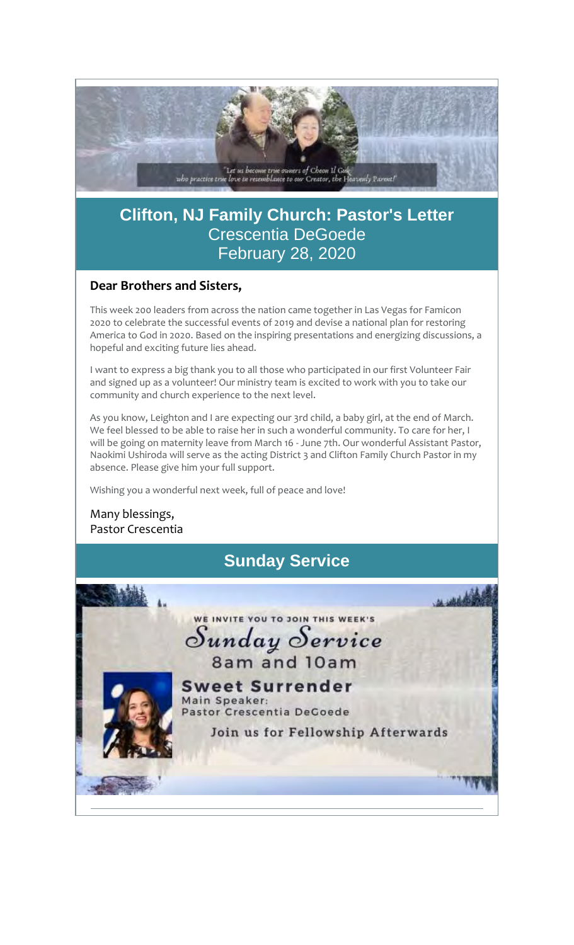

# **Clifton, NJ Family Church: Pastor's Letter** Crescentia DeGoede February 28, 2020

# **Dear Brothers and Sisters,**

This week 200 leaders from across the nation came together in Las Vegas for Famicon 2020 to celebrate the successful events of 2019 and devise a national plan for restoring America to God in 2020. Based on the inspiring presentations and energizing discussions, a hopeful and exciting future lies ahead.

I want to express a big thank you to all those who participated in our first Volunteer Fair and signed up as a volunteer! Our ministry team is excited to work with you to take our community and church experience to the next level.

As you know, Leighton and I are expecting our 3rd child, a baby girl, at the end of March. We feel blessed to be able to raise her in such a wonderful community. To care for her, I will be going on maternity leave from March 16 - June 7th. Our wonderful Assistant Pastor, Naokimi Ushiroda will serve as the acting District 3 and Clifton Family Church Pastor in my absence. Please give him your full support.

Wishing you a wonderful next week, full of peace and love!

Many blessings, Pastor Crescentia

# **Sunday Service**

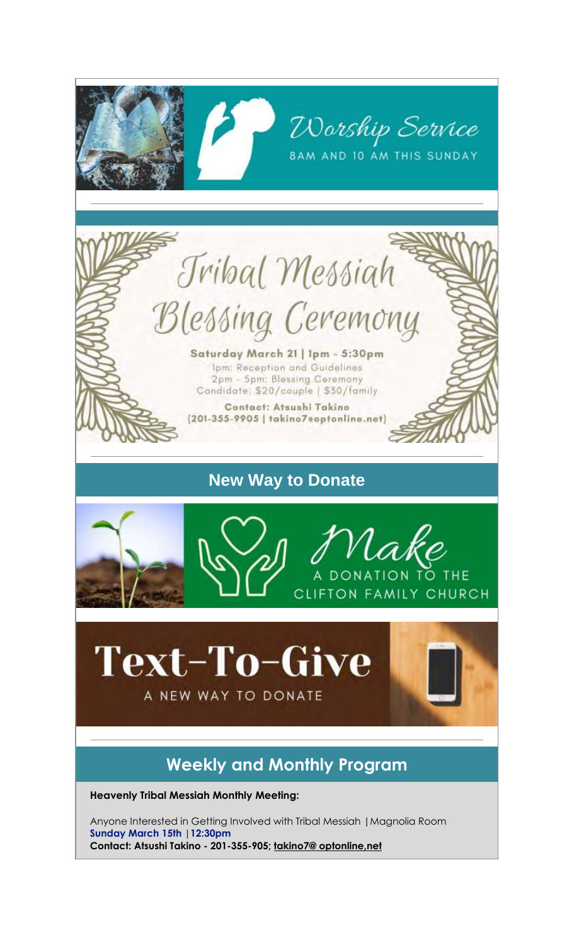